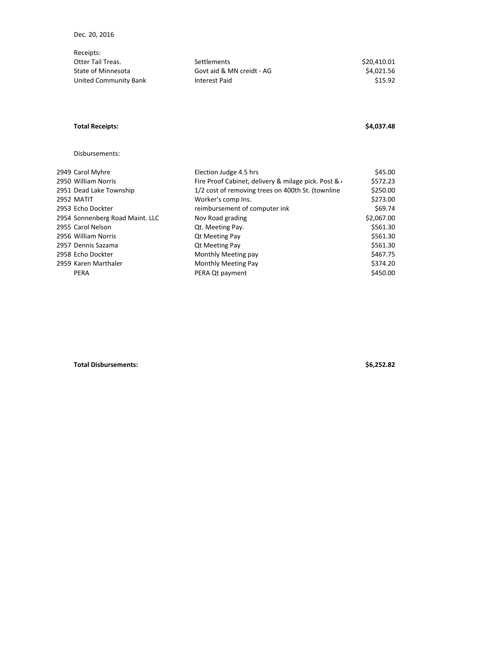| Receipts:             |                           |             |
|-----------------------|---------------------------|-------------|
| Otter Tail Treas.     | <b>Settlements</b>        | \$20,410.01 |
| State of Minnesota    | Govt aid & MN creidt - AG | \$4.021.56  |
| United Community Bank | Interest Paid             | \$15.92     |

## **Total Receipts: \$4,037.48**

## Disbursements:

| 2949 Carol Myhre                | Election Judge 4.5 hrs                             | \$45.00    |
|---------------------------------|----------------------------------------------------|------------|
| 2950 William Norris             | Fire Proof Cabinet, delivery & milage pick. Post & | \$572.23   |
| 2951 Dead Lake Township         | 1/2 cost of removing trees on 400th St. (townline  | \$250.00   |
| 2952 MATIT                      | Worker's comp Ins.                                 | \$273.00   |
| 2953 Echo Dockter               | reimbursement of computer ink                      | \$69.74    |
| 2954 Sonnenberg Road Maint. LLC | Nov Road grading                                   | \$2,067.00 |
| 2955 Carol Nelson               | Qt. Meeting Pay.                                   | \$561.30   |
| 2956 William Norris             | <b>Qt Meeting Pay</b>                              | \$561.30   |
| 2957 Dennis Sazama              | <b>Qt Meeting Pay</b>                              | \$561.30   |
| 2958 Echo Dockter               | Monthly Meeting pay                                | \$467.75   |
| 2959 Karen Marthaler            | Monthly Meeting Pay                                | \$374.20   |
| <b>PERA</b>                     | PERA Qt payment                                    | \$450.00   |

**Total Disbursements: \$6,252.82**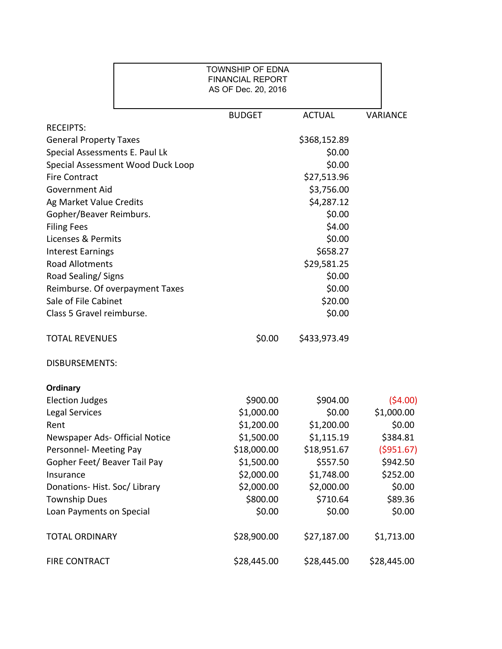|                                   | <b>TOWNSHIP OF EDNA</b><br><b>FINANCIAL REPORT</b><br>AS OF Dec. 20, 2016 |               |                 |
|-----------------------------------|---------------------------------------------------------------------------|---------------|-----------------|
|                                   | <b>BUDGET</b>                                                             | <b>ACTUAL</b> | <b>VARIANCE</b> |
| <b>RECEIPTS:</b>                  |                                                                           |               |                 |
| <b>General Property Taxes</b>     |                                                                           | \$368,152.89  |                 |
| Special Assessments E. Paul Lk    |                                                                           | \$0.00        |                 |
| Special Assessment Wood Duck Loop |                                                                           | \$0.00        |                 |
| <b>Fire Contract</b>              |                                                                           | \$27,513.96   |                 |
| <b>Government Aid</b>             |                                                                           | \$3,756.00    |                 |
| Ag Market Value Credits           |                                                                           | \$4,287.12    |                 |
| Gopher/Beaver Reimburs.           |                                                                           | \$0.00        |                 |
| <b>Filing Fees</b>                |                                                                           | \$4.00        |                 |
| Licenses & Permits                |                                                                           | \$0.00        |                 |
| <b>Interest Earnings</b>          |                                                                           | \$658.27      |                 |
| <b>Road Allotments</b>            |                                                                           | \$29,581.25   |                 |
| Road Sealing/Signs                |                                                                           | \$0.00        |                 |
| Reimburse. Of overpayment Taxes   |                                                                           | \$0.00        |                 |
| Sale of File Cabinet              |                                                                           | \$20.00       |                 |
| Class 5 Gravel reimburse.         |                                                                           | \$0.00        |                 |
| <b>TOTAL REVENUES</b>             | \$0.00                                                                    | \$433,973.49  |                 |
| <b>DISBURSEMENTS:</b>             |                                                                           |               |                 |
| <b>Ordinary</b>                   |                                                                           |               |                 |
| <b>Election Judges</b>            | \$900.00                                                                  | \$904.00      | (54.00)         |
| Legal Services                    | \$1,000.00                                                                | \$0.00        | \$1,000.00      |
| Rent                              | \$1,200.00                                                                | \$1,200.00    | \$0.00          |
| Newspaper Ads- Official Notice    | \$1,500.00                                                                | \$1,115.19    | \$384.81        |
| Personnel- Meeting Pay            | \$18,000.00                                                               | \$18,951.67   | ( \$951.67)     |
| Gopher Feet/ Beaver Tail Pay      | \$1,500.00                                                                | \$557.50      | \$942.50        |
| Insurance                         | \$2,000.00                                                                | \$1,748.00    | \$252.00        |
| Donations-Hist. Soc/Library       | \$2,000.00                                                                | \$2,000.00    | \$0.00          |
| <b>Township Dues</b>              | \$800.00                                                                  | \$710.64      | \$89.36         |
| Loan Payments on Special          | \$0.00                                                                    | \$0.00        | \$0.00          |
| <b>TOTAL ORDINARY</b>             | \$28,900.00                                                               | \$27,187.00   | \$1,713.00      |
| <b>FIRE CONTRACT</b>              | \$28,445.00                                                               | \$28,445.00   | \$28,445.00     |